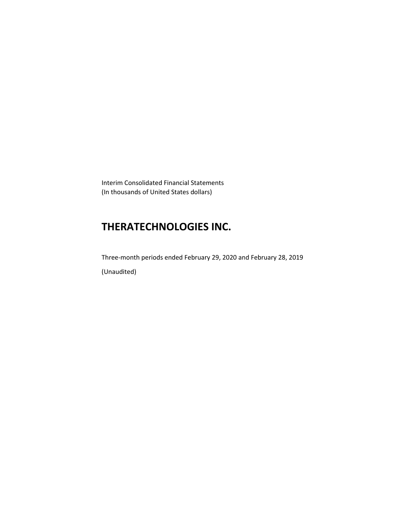Interim Consolidated Financial Statements (In thousands of United States dollars)

# **THERATECHNOLOGIES INC.**

Three-month periods ended February 29, 2020 and February 28, 2019 (Unaudited)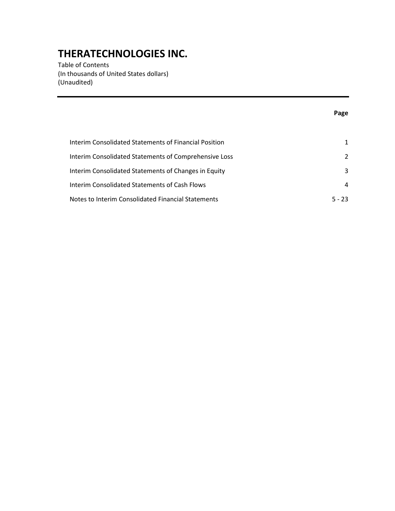Table of Contents (In thousands of United States dollars) (Unaudited)

## **Page**

| Interim Consolidated Statements of Financial Position |               |
|-------------------------------------------------------|---------------|
| Interim Consolidated Statements of Comprehensive Loss | $\mathcal{P}$ |
| Interim Consolidated Statements of Changes in Equity  | 3             |
| Interim Consolidated Statements of Cash Flows         | 4             |
| Notes to Interim Consolidated Financial Statements    | $5 - 23$      |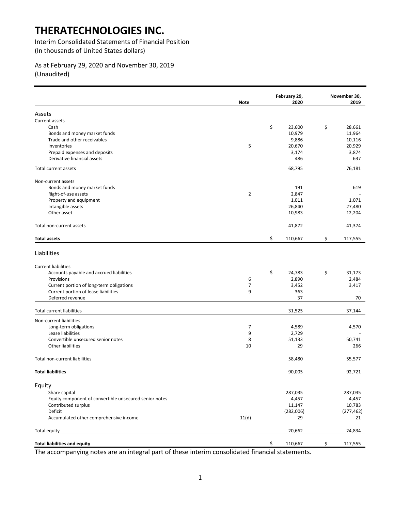Interim Consolidated Statements of Financial Position (In thousands of United States dollars)

## As at February 29, 2020 and November 30, 2019 (Unaudited)

|                                                        | <b>Note</b>    | February 29,<br>2020 | November 30,<br>2019 |
|--------------------------------------------------------|----------------|----------------------|----------------------|
| Assets                                                 |                |                      |                      |
| Current assets                                         |                |                      |                      |
| Cash                                                   |                | \$<br>23,600         | \$<br>28,661         |
| Bonds and money market funds                           |                | 10,979               | 11,964               |
| Trade and other receivables                            |                | 9,886                | 10,116               |
| Inventories                                            | 5              | 20,670               | 20,929               |
| Prepaid expenses and deposits                          |                | 3,174                | 3,874                |
| Derivative financial assets                            |                | 486                  | 637                  |
| Total current assets                                   |                | 68,795               | 76,181               |
| Non-current assets                                     |                |                      |                      |
| Bonds and money market funds                           |                | 191                  | 619                  |
| Right-of-use assets                                    | $\overline{2}$ | 2,847                |                      |
| Property and equipment                                 |                | 1,011                | 1,071                |
| Intangible assets                                      |                | 26,840               | 27,480               |
| Other asset                                            |                | 10,983               | 12,204               |
| Total non-current assets                               |                | 41,872               | 41,374               |
| <b>Total assets</b>                                    |                | \$<br>110,667        | \$<br>117,555        |
| Liabilities                                            |                |                      |                      |
| <b>Current liabilities</b>                             |                |                      |                      |
| Accounts payable and accrued liabilities               |                | \$<br>24,783         | \$<br>31,173         |
| Provisions                                             | 6              | 2,890                | 2,484                |
| Current portion of long-term obligations               | 7              | 3,452                | 3,417                |
| Current portion of lease liabilities                   | 9              | 363                  |                      |
| Deferred revenue                                       |                | 37                   | 70                   |
| <b>Total current liabilities</b>                       |                | 31,525               | 37,144               |
| Non-current liabilities                                |                |                      |                      |
| Long-term obligations                                  | 7              | 4,589                | 4,570                |
| Lease liabilities                                      | 9              | 2,729                |                      |
| Convertible unsecured senior notes                     | 8              | 51,133               | 50,741               |
| Other liabilities                                      | 10             | 29                   | 266                  |
| Total non-current liabilities                          |                | 58,480               | 55,577               |
| <b>Total liabilities</b>                               |                | 90,005               | 92,721               |
|                                                        |                |                      |                      |
| Equity                                                 |                |                      |                      |
| Share capital                                          |                | 287,035              | 287,035              |
| Equity component of convertible unsecured senior notes |                | 4,457                | 4,457                |
| Contributed surplus                                    |                | 11,147               | 10,783               |
| Deficit                                                |                | (282,006)            | (277, 462)           |
| Accumulated other comprehensive income                 | 11(d)          | 29                   | 21                   |
| Total equity                                           |                | 20,662               | 24,834               |
| <b>Total liabilities and equity</b>                    |                | \$<br>110,667        | \$<br>117,555        |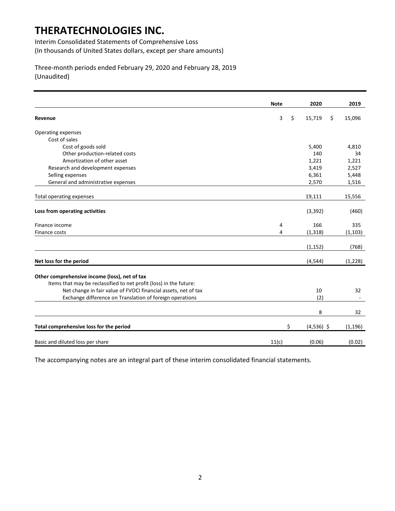Interim Consolidated Statements of Comprehensive Loss (In thousands of United States dollars, except per share amounts)

Three-month periods ended February 29, 2020 and February 28, 2019 (Unaudited)

|                                                                    |             | 2020         | 2019         |
|--------------------------------------------------------------------|-------------|--------------|--------------|
|                                                                    | <b>Note</b> |              |              |
| Revenue                                                            | 3           | \$<br>15,719 | \$<br>15,096 |
| Operating expenses                                                 |             |              |              |
| Cost of sales                                                      |             |              |              |
| Cost of goods sold                                                 |             | 5,400        | 4,810        |
| Other production-related costs                                     |             | 140          | 34           |
| Amortization of other asset                                        |             | 1,221        | 1,221        |
| Research and development expenses                                  |             | 3,419        | 2,527        |
| Selling expenses                                                   |             | 6,361        | 5,448        |
| General and administrative expenses                                |             | 2,570        | 1,516        |
| Total operating expenses                                           |             | 19,111       | 15,556       |
|                                                                    |             |              |              |
| Loss from operating activities                                     |             | (3, 392)     | (460)        |
| Finance income                                                     | 4           | 166          | 335          |
| Finance costs                                                      | 4           | (1, 318)     | (1, 103)     |
|                                                                    |             | (1, 152)     | (768)        |
| Net loss for the period                                            |             | (4, 544)     | (1, 228)     |
|                                                                    |             |              |              |
| Other comprehensive income (loss), net of tax                      |             |              |              |
| Items that may be reclassified to net profit (loss) in the future: |             |              |              |
| Net change in fair value of FVOCI financial assets, net of tax     |             | 10<br>(2)    | 32           |
| Exchange difference on Translation of foreign operations           |             |              |              |
|                                                                    |             | 8            | 32           |
| Total comprehensive loss for the period                            | \$          | $(4,536)$ \$ | (1, 196)     |
| Basic and diluted loss per share                                   | 11(c)       | (0.06)       | (0.02)       |
|                                                                    |             |              |              |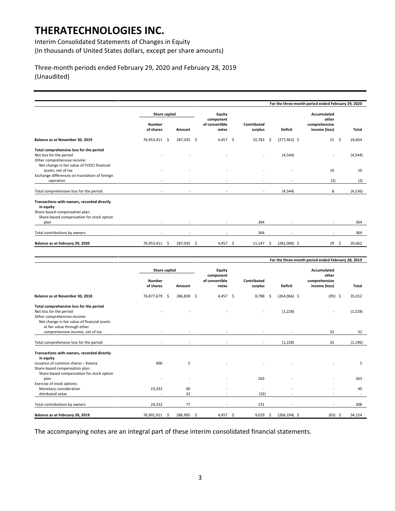Interim Consolidated Statements of Changes in Equity (In thousands of United States dollars, except per share amounts)

Three-month periods ended February 29, 2020 and February 28, 2019 (Unaudited)

|                                                                                                                                                  |                            |               |                                      |                          |                        | For the three-month period ended February 29, 2020 |              |
|--------------------------------------------------------------------------------------------------------------------------------------------------|----------------------------|---------------|--------------------------------------|--------------------------|------------------------|----------------------------------------------------|--------------|
|                                                                                                                                                  |                            | Share capital |                                      |                          |                        | Accumulated<br>other                               |              |
|                                                                                                                                                  | <b>Number</b><br>of shares | Amount        | component<br>of convertible<br>notes | Contributed<br>surplus   | <b>Deficit</b>         | comprehensive<br>income (loss)                     | Total        |
| Balance as at November 30, 2019                                                                                                                  | 76,953,411 \$              | 287,035 \$    | $4,457$ \$                           | 10,783                   | $(277, 462)$ \$<br>- Ś | 21                                                 | Ŝ.<br>24,834 |
| Total comprehensive loss for the period<br>Net loss for the period<br>Other comprehensive income:<br>Net change in fair value of FVOCI financial |                            |               |                                      | $\overline{\phantom{a}}$ | (4, 544)               | ٠                                                  | (4, 544)     |
| assets, net of tax<br>Exchange differences on translation of foreign<br>operation                                                                | ٠                          |               |                                      |                          |                        | 10<br>(2)                                          | 10<br>(2)    |
| Total comprehensive loss for the period                                                                                                          | $\overline{\phantom{a}}$   | $\sim$        |                                      | $\overline{\phantom{a}}$ | (4, 544)               | 8                                                  | (4, 536)     |
| Transactions with owners, recorded directly<br>in equity<br>Share-based compensation plan:<br>Share-based compensation for stock option<br>plan  |                            |               |                                      | 364                      |                        |                                                    | 364          |
| Total contributions by owners                                                                                                                    |                            |               |                                      | 364                      |                        | $\sim$                                             | 364          |
| Balance as at February 29, 2020                                                                                                                  | 76,953,411 \$              | 287,035 \$    | 4,457 \$                             | 11,147                   | $(282,006)$ \$<br>- Ś  | 29                                                 | 20.662<br>-Ś |

|                                                                                                                                                   |                                    |     |            |                         |  |                        |     |                          | For the three-month period ended February 28, 2019 |          |
|---------------------------------------------------------------------------------------------------------------------------------------------------|------------------------------------|-----|------------|-------------------------|--|------------------------|-----|--------------------------|----------------------------------------------------|----------|
|                                                                                                                                                   | <b>Share capital</b>               |     |            | Equity<br>component     |  |                        |     | Accumulated<br>other     |                                                    |          |
|                                                                                                                                                   | <b>Number</b><br>of shares         |     | Amount     | of convertible<br>notes |  | Contributed<br>surplus |     | <b>Deficit</b>           | comprehensive<br>income (loss)                     | Total    |
| Balance as at November 30, 2018                                                                                                                   | 76,877,679                         | - S | 286,828 \$ | 4,457 \$                |  | 8,788                  | - Ś | $(264, 966)$ \$          | $(95)$ \$                                          | 35,012   |
| Total comprehensive loss for the period<br>Net loss for the period<br>Other comprehensive income:<br>Net change in fair value of financial assets |                                    |     |            |                         |  |                        |     | (1,228)                  |                                                    | (1,228)  |
| at fair value through other<br>comprehensive income, net of tax                                                                                   |                                    |     |            |                         |  |                        |     |                          | 32                                                 | 32       |
| Total comprehensive loss for the period                                                                                                           |                                    |     |            |                         |  |                        |     | (1, 228)                 | 32                                                 | (1, 196) |
| Transactions with owners, recorded directly<br>in equity<br>Issuance of common shares - Katana                                                    | 900                                |     | 5          |                         |  |                        |     |                          |                                                    | 5        |
| Share-based compensation plan:<br>Share-based compensation for stock option                                                                       |                                    |     |            |                         |  |                        |     |                          |                                                    |          |
| plan                                                                                                                                              |                                    |     |            |                         |  | 263                    |     |                          |                                                    | 263      |
| Exercise of stock options:<br>Monetary consideration<br>Attributed value                                                                          | 23,332<br>$\overline{\phantom{a}}$ |     | 40<br>32   |                         |  | (32)                   |     |                          |                                                    | 40       |
| Total contributions by owners                                                                                                                     | 24,232                             |     | 77         | $\sim$                  |  | 231                    |     | $\overline{\phantom{a}}$ | $\overline{\phantom{a}}$                           | 308      |
| Balance as at February 28, 2019                                                                                                                   | 76,901,911                         | .s  | 286,905 \$ | $4,457$ \$              |  | 9,019                  | -\$ | $(266, 194)$ \$          | $(63)$ \$                                          | 34,124   |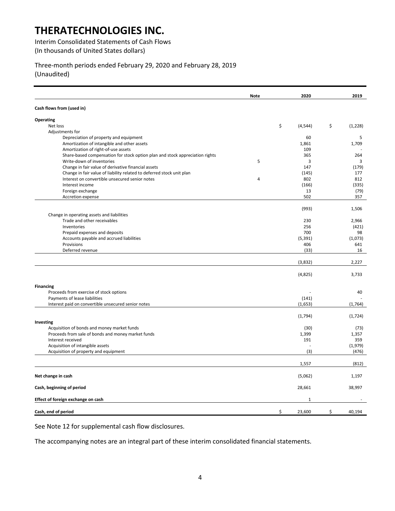Interim Consolidated Statements of Cash Flows (In thousands of United States dollars)

Three-month periods ended February 29, 2020 and February 28, 2019 (Unaudited)

|                                                                              | <b>Note</b>    | 2020           | 2019          |
|------------------------------------------------------------------------------|----------------|----------------|---------------|
| Cash flows from (used in)                                                    |                |                |               |
| Operating                                                                    |                |                |               |
| Net loss                                                                     |                | \$<br>(4, 544) | \$<br>(1,228) |
| Adjustments for                                                              |                |                |               |
| Depreciation of property and equipment                                       |                | 60             | 5             |
| Amortization of intangible and other assets                                  |                | 1,861          | 1,709         |
| Amortization of right-of-use assets                                          |                | 109            |               |
| Share-based compensation for stock option plan and stock appreciation rights |                | 365            | 264           |
| Write-down of inventories                                                    | 5              | 3              | 3             |
| Change in fair value of derivative financial assets                          |                | 147            | (179)         |
| Change in fair value of liability related to deferred stock unit plan        |                | (145)          | 177           |
| Interest on convertible unsecured senior notes                               | $\overline{4}$ | 802            | 812           |
| Interest income                                                              |                | (166)          | (335)         |
| Foreign exchange                                                             |                | 13             | (79)          |
| Accretion expense                                                            |                | 502            | 357           |
|                                                                              |                |                |               |
|                                                                              |                | (993)          | 1,506         |
| Change in operating assets and liabilities                                   |                |                |               |
| Trade and other receivables                                                  |                | 230            | 2,966         |
| Inventories                                                                  |                | 256            | (421)         |
| Prepaid expenses and deposits                                                |                | 700            | 98            |
| Accounts payable and accrued liabilities                                     |                | (5, 391)       | (1,073)       |
| Provisions<br>Deferred revenue                                               |                | 406            | 641<br>16     |
|                                                                              |                | (33)           |               |
|                                                                              |                | (3,832)        | 2,227         |
|                                                                              |                | (4,825)        | 3,733         |
| <b>Financing</b>                                                             |                |                |               |
| Proceeds from exercise of stock options                                      |                |                | 40            |
| Payments of lease liabilities                                                |                | (141)          |               |
| Interest paid on convertible unsecured senior notes                          |                | (1,653)        | (1,764)       |
|                                                                              |                |                |               |
|                                                                              |                | (1,794)        | (1, 724)      |
| Investing                                                                    |                |                |               |
| Acquisition of bonds and money market funds                                  |                | (30)           | (73)          |
| Proceeds from sale of bonds and money market funds                           |                | 1,399          | 1,357         |
| Interest received                                                            |                | 191            | 359           |
| Acquisition of intangible assets                                             |                |                | (1,979)       |
| Acquisition of property and equipment                                        |                | (3)            | (476)         |
|                                                                              |                | 1,557          | (812)         |
|                                                                              |                |                |               |
| Net change in cash                                                           |                | (5,062)        | 1,197         |
| Cash, beginning of period                                                    |                | 28,661         | 38,997        |
| Effect of foreign exchange on cash                                           |                | 1              |               |
| Cash, end of period                                                          |                | \$<br>23,600   | \$<br>40,194  |

See Note 12 for supplemental cash flow disclosures.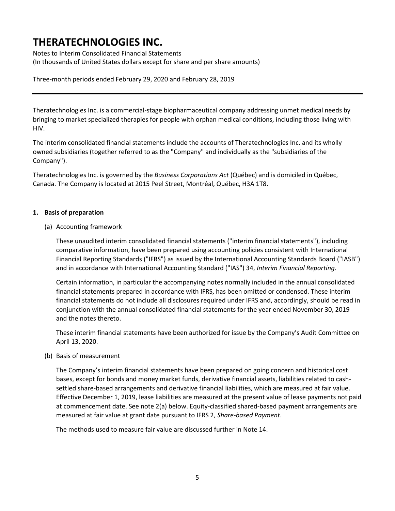Notes to Interim Consolidated Financial Statements (In thousands of United States dollars except for share and per share amounts)

## Three-month periods ended February 29, 2020 and February 28, 2019

Theratechnologies Inc. is a commercial-stage biopharmaceutical company addressing unmet medical needs by bringing to market specialized therapies for people with orphan medical conditions, including those living with HIV.

The interim consolidated financial statements include the accounts of Theratechnologies Inc. and its wholly owned subsidiaries (together referred to as the "Company" and individually as the "subsidiaries of the Company").

Theratechnologies Inc. is governed by the *Business Corporations Act* (Québec) and is domiciled in Québec, Canada. The Company is located at 2015 Peel Street, Montréal, Québec, H3A 1T8.

### **1. Basis of preparation**

(a) Accounting framework

These unaudited interim consolidated financial statements ("interim financial statements"), including comparative information, have been prepared using accounting policies consistent with International Financial Reporting Standards ("IFRS") as issued by the International Accounting Standards Board ("IASB") and in accordance with International Accounting Standard ("IAS") 34, *Interim Financial Reporting*.

Certain information, in particular the accompanying notes normally included in the annual consolidated financial statements prepared in accordance with IFRS, has been omitted or condensed. These interim financial statements do not include all disclosures required under IFRS and, accordingly, should be read in conjunction with the annual consolidated financial statements for the year ended November 30, 2019 and the notes thereto.

These interim financial statements have been authorized for issue by the Company's Audit Committee on April 13, 2020.

(b) Basis of measurement

The Company's interim financial statements have been prepared on going concern and historical cost bases, except for bonds and money market funds, derivative financial assets, liabilities related to cashsettled share-based arrangements and derivative financial liabilities, which are measured at fair value. Effective December 1, 2019, lease liabilities are measured at the present value of lease payments not paid at commencement date. See note 2(a) below. Equity-classified shared-based payment arrangements are measured at fair value at grant date pursuant to IFRS 2, *Share-based Payment*.

The methods used to measure fair value are discussed further in Note 14.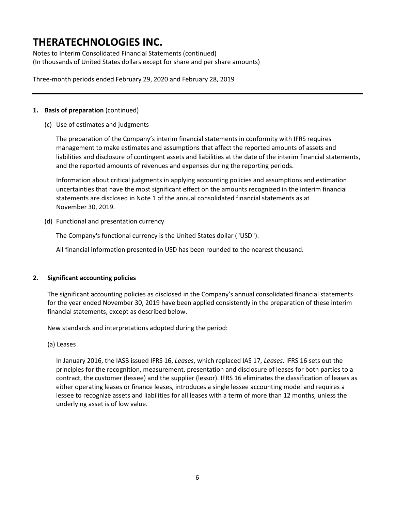Notes to Interim Consolidated Financial Statements (continued) (In thousands of United States dollars except for share and per share amounts)

Three-month periods ended February 29, 2020 and February 28, 2019

### **1. Basis of preparation** (continued)

(c) Use of estimates and judgments

The preparation of the Company's interim financial statements in conformity with IFRS requires management to make estimates and assumptions that affect the reported amounts of assets and liabilities and disclosure of contingent assets and liabilities at the date of the interim financial statements, and the reported amounts of revenues and expenses during the reporting periods.

Information about critical judgments in applying accounting policies and assumptions and estimation uncertainties that have the most significant effect on the amounts recognized in the interim financial statements are disclosed in Note 1 of the annual consolidated financial statements as at November 30, 2019.

(d) Functional and presentation currency

The Company's functional currency is the United States dollar ("USD").

All financial information presented in USD has been rounded to the nearest thousand.

### **2. Significant accounting policies**

The significant accounting policies as disclosed in the Company's annual consolidated financial statements for the year ended November 30, 2019 have been applied consistently in the preparation of these interim financial statements, except as described below.

New standards and interpretations adopted during the period:

(a) Leases

In January 2016, the IASB issued IFRS 16, *Leases*, which replaced IAS 17, *Leases*. IFRS 16 sets out the principles for the recognition, measurement, presentation and disclosure of leases for both parties to a contract, the customer (lessee) and the supplier (lessor). IFRS 16 eliminates the classification of leases as either operating leases or finance leases, introduces a single lessee accounting model and requires a lessee to recognize assets and liabilities for all leases with a term of more than 12 months, unless the underlying asset is of low value.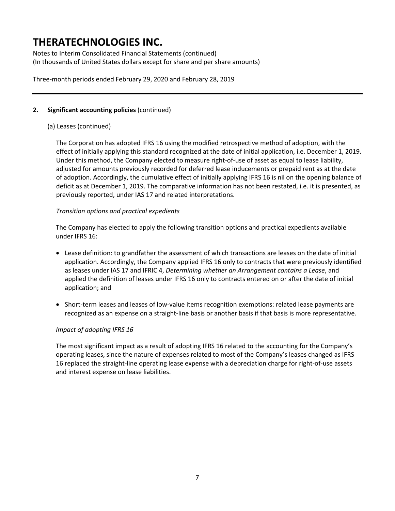Notes to Interim Consolidated Financial Statements (continued) (In thousands of United States dollars except for share and per share amounts)

Three-month periods ended February 29, 2020 and February 28, 2019

## **2. Significant accounting policies** (continued)

## (a) Leases (continued)

The Corporation has adopted IFRS 16 using the modified retrospective method of adoption, with the effect of initially applying this standard recognized at the date of initial application, i.e. December 1, 2019. Under this method, the Company elected to measure right-of-use of asset as equal to lease liability, adjusted for amounts previously recorded for deferred lease inducements or prepaid rent as at the date of adoption. Accordingly, the cumulative effect of initially applying IFRS 16 is nil on the opening balance of deficit as at December 1, 2019. The comparative information has not been restated, i.e. it is presented, as previously reported, under IAS 17 and related interpretations.

### *Transition options and practical expedients*

The Company has elected to apply the following transition options and practical expedients available under IFRS 16:

- Lease definition: to grandfather the assessment of which transactions are leases on the date of initial application. Accordingly, the Company applied IFRS 16 only to contracts that were previously identified as leases under IAS 17 and IFRIC 4, *Determining whether an Arrangement contains a Lease*, and applied the definition of leases under IFRS 16 only to contracts entered on or after the date of initial application; and
- Short-term leases and leases of low-value items recognition exemptions: related lease payments are recognized as an expense on a straight-line basis or another basis if that basis is more representative.

### *Impact of adopting IFRS 16*

The most significant impact as a result of adopting IFRS 16 related to the accounting for the Company's operating leases, since the nature of expenses related to most of the Company's leases changed as IFRS 16 replaced the straight-line operating lease expense with a depreciation charge for right-of-use assets and interest expense on lease liabilities.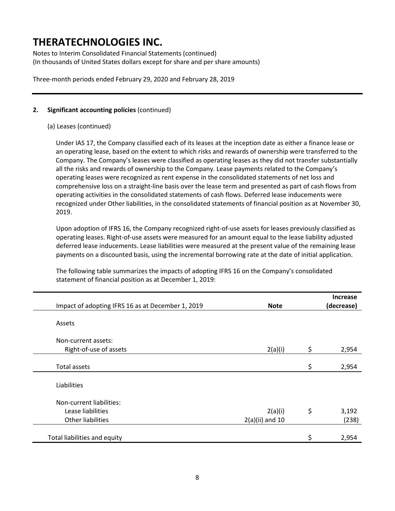Notes to Interim Consolidated Financial Statements (continued) (In thousands of United States dollars except for share and per share amounts)

Three-month periods ended February 29, 2020 and February 28, 2019

## **2. Significant accounting policies** (continued)

### (a) Leases (continued)

Under IAS 17, the Company classified each of its leases at the inception date as either a finance lease or an operating lease, based on the extent to which risks and rewards of ownership were transferred to the Company. The Company's leases were classified as operating leases as they did not transfer substantially all the risks and rewards of ownership to the Company. Lease payments related to the Company's operating leases were recognized as rent expense in the consolidated statements of net loss and comprehensive loss on a straight-line basis over the lease term and presented as part of cash flows from operating activities in the consolidated statements of cash flows. Deferred lease inducements were recognized under Other liabilities, in the consolidated statements of financial position as at November 30, 2019.

Upon adoption of IFRS 16, the Company recognized right-of-use assets for leases previously classified as operating leases. Right-of-use assets were measured for an amount equal to the lease liability adjusted deferred lease inducements. Lease liabilities were measured at the present value of the remaining lease payments on a discounted basis, using the incremental borrowing rate at the date of initial application.

The following table summarizes the impacts of adopting IFRS 16 on the Company's consolidated statement of financial position as at December 1, 2019:

| Impact of adopting IFRS 16 as at December 1, 2019 | <b>Note</b>       | <b>Increase</b><br>(decrease) |
|---------------------------------------------------|-------------------|-------------------------------|
|                                                   |                   |                               |
| Assets                                            |                   |                               |
| Non-current assets:                               |                   |                               |
| Right-of-use of assets                            | 2(a)(i)           | \$<br>2,954                   |
|                                                   |                   |                               |
| <b>Total assets</b>                               |                   | \$<br>2,954                   |
|                                                   |                   |                               |
| Liabilities                                       |                   |                               |
|                                                   |                   |                               |
| Non-current liabilities:                          |                   |                               |
| Lease liabilities                                 | 2(a)(i)           | \$<br>3,192                   |
| <b>Other liabilities</b>                          | $2(a)(ii)$ and 10 | (238)                         |
|                                                   |                   |                               |
| Total liabilities and equity                      |                   | \$<br>2,954                   |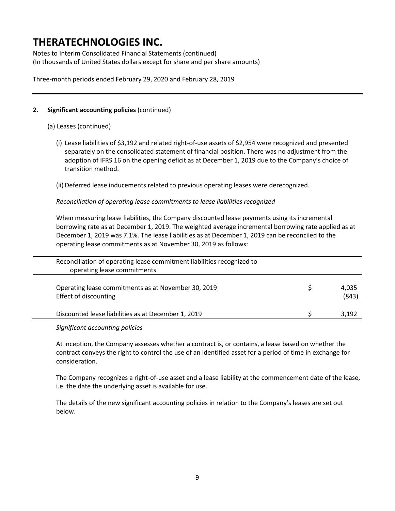Notes to Interim Consolidated Financial Statements (continued) (In thousands of United States dollars except for share and per share amounts)

Three-month periods ended February 29, 2020 and February 28, 2019

## **2. Significant accounting policies** (continued)

(a) Leases (continued)

(i) Lease liabilities of \$3,192 and related right-of-use assets of \$2,954 were recognized and presented separately on the consolidated statement of financial position. There was no adjustment from the adoption of IFRS 16 on the opening deficit as at December 1, 2019 due to the Company's choice of transition method.

(ii) Deferred lease inducements related to previous operating leases were derecognized.

*Reconciliation of operating lease commitments to lease liabilities recognized* 

When measuring lease liabilities, the Company discounted lease payments using its incremental borrowing rate as at December 1, 2019. The weighted average incremental borrowing rate applied as at December 1, 2019 was 7.1%. The lease liabilities as at December 1, 2019 can be reconciled to the operating lease commitments as at November 30, 2019 as follows:

| Reconciliation of operating lease commitment liabilities recognized to<br>operating lease commitments |                |
|-------------------------------------------------------------------------------------------------------|----------------|
| Operating lease commitments as at November 30, 2019<br>Effect of discounting                          | 4,035<br>(843) |
| Discounted lease liabilities as at December 1, 2019                                                   | 3,192          |

*Significant accounting policies* 

At inception, the Company assesses whether a contract is, or contains, a lease based on whether the contract conveys the right to control the use of an identified asset for a period of time in exchange for consideration.

The Company recognizes a right-of-use asset and a lease liability at the commencement date of the lease, i.e. the date the underlying asset is available for use.

The details of the new significant accounting policies in relation to the Company's leases are set out below.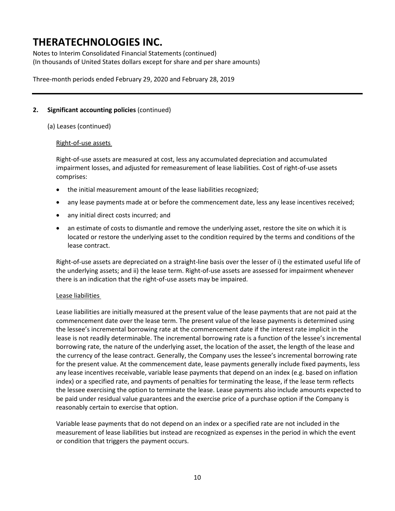Notes to Interim Consolidated Financial Statements (continued) (In thousands of United States dollars except for share and per share amounts)

Three-month periods ended February 29, 2020 and February 28, 2019

## **2. Significant accounting policies** (continued)

(a) Leases (continued)

### Right-of-use assets

Right-of-use assets are measured at cost, less any accumulated depreciation and accumulated impairment losses, and adjusted for remeasurement of lease liabilities. Cost of right-of-use assets comprises:

- the initial measurement amount of the lease liabilities recognized;
- any lease payments made at or before the commencement date, less any lease incentives received;
- any initial direct costs incurred; and
- an estimate of costs to dismantle and remove the underlying asset, restore the site on which it is located or restore the underlying asset to the condition required by the terms and conditions of the lease contract.

Right-of-use assets are depreciated on a straight-line basis over the lesser of i) the estimated useful life of the underlying assets; and ii) the lease term. Right-of-use assets are assessed for impairment whenever there is an indication that the right-of-use assets may be impaired.

### Lease liabilities

Lease liabilities are initially measured at the present value of the lease payments that are not paid at the commencement date over the lease term. The present value of the lease payments is determined using the lessee's incremental borrowing rate at the commencement date if the interest rate implicit in the lease is not readily determinable. The incremental borrowing rate is a function of the lessee's incremental borrowing rate, the nature of the underlying asset, the location of the asset, the length of the lease and the currency of the lease contract. Generally, the Company uses the lessee's incremental borrowing rate for the present value. At the commencement date, lease payments generally include fixed payments, less any lease incentives receivable, variable lease payments that depend on an index (e.g. based on inflation index) or a specified rate, and payments of penalties for terminating the lease, if the lease term reflects the lessee exercising the option to terminate the lease. Lease payments also include amounts expected to be paid under residual value guarantees and the exercise price of a purchase option if the Company is reasonably certain to exercise that option.

Variable lease payments that do not depend on an index or a specified rate are not included in the measurement of lease liabilities but instead are recognized as expenses in the period in which the event or condition that triggers the payment occurs.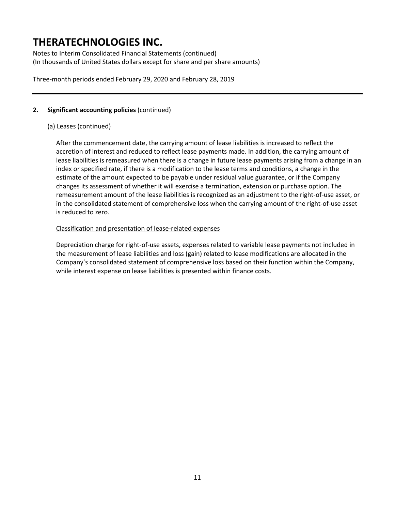Notes to Interim Consolidated Financial Statements (continued) (In thousands of United States dollars except for share and per share amounts)

Three-month periods ended February 29, 2020 and February 28, 2019

## **2. Significant accounting policies** (continued)

## (a) Leases (continued)

After the commencement date, the carrying amount of lease liabilities is increased to reflect the accretion of interest and reduced to reflect lease payments made. In addition, the carrying amount of lease liabilities is remeasured when there is a change in future lease payments arising from a change in an index or specified rate, if there is a modification to the lease terms and conditions, a change in the estimate of the amount expected to be payable under residual value guarantee, or if the Company changes its assessment of whether it will exercise a termination, extension or purchase option. The remeasurement amount of the lease liabilities is recognized as an adjustment to the right-of-use asset, or in the consolidated statement of comprehensive loss when the carrying amount of the right-of-use asset is reduced to zero.

### Classification and presentation of lease-related expenses

Depreciation charge for right-of-use assets, expenses related to variable lease payments not included in the measurement of lease liabilities and loss (gain) related to lease modifications are allocated in the Company's consolidated statement of comprehensive loss based on their function within the Company, while interest expense on lease liabilities is presented within finance costs.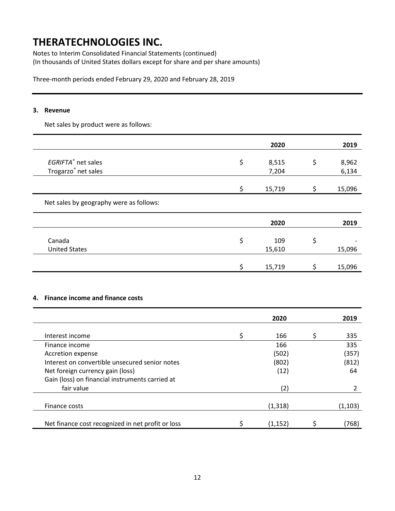Notes to Interim Consolidated Financial Statements (continued) (In thousands of United States dollars except for share and per share amounts)

Three-month periods ended February 29, 2020 and February 28, 2019

### **3. Revenue**

Net sales by product were as follows:

|                                         | 2020         | 2019         |
|-----------------------------------------|--------------|--------------|
| EGRIFTA® net sales                      | \$<br>8,515  | \$<br>8,962  |
| Trogarzo <sup>®</sup> net sales         | 7,204        | 6,134        |
|                                         | \$<br>15,719 | \$<br>15,096 |
| Net sales by geography were as follows: |              |              |
|                                         | 2020         | 2019         |
| Canada                                  | \$<br>109    | \$           |
| <b>United States</b>                    | 15,610       | 15,096       |
|                                         | \$<br>15,719 | 15,096       |

#### **4. Finance income and finance costs**

|                                                   | 2020     | 2019     |
|---------------------------------------------------|----------|----------|
| Interest income                                   | 166      | 335      |
| Finance income                                    | 166      | 335      |
| Accretion expense                                 | (502)    | (357)    |
| Interest on convertible unsecured senior notes    | (802)    | (812)    |
| Net foreign currency gain (loss)                  | (12)     | 64       |
| Gain (loss) on financial instruments carried at   |          |          |
| fair value                                        | (2)      |          |
|                                                   |          |          |
| Finance costs                                     | (1, 318) | (1, 103) |
| Net finance cost recognized in net profit or loss | (1,152)  | (768)    |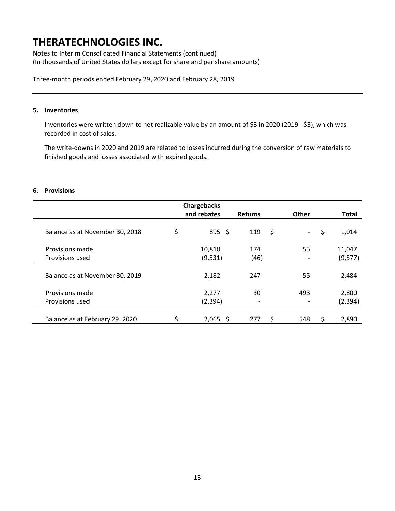Notes to Interim Consolidated Financial Statements (continued) (In thousands of United States dollars except for share and per share amounts)

Three-month periods ended February 29, 2020 and February 28, 2019

### **5. Inventories**

Inventories were written down to net realizable value by an amount of \$3 in 2020 (2019 - \$3), which was recorded in cost of sales.

The write-downs in 2020 and 2019 are related to losses incurred during the conversion of raw materials to finished goods and losses associated with expired goods.

#### **6. Provisions**

|                                 | <b>Chargebacks</b> |                |              |              |
|---------------------------------|--------------------|----------------|--------------|--------------|
|                                 | and rebates        | <b>Returns</b> | <b>Other</b> | <b>Total</b> |
| Balance as at November 30, 2018 | \$<br>$895 \;$ \$  | 119            | \$<br>$\sim$ | \$<br>1,014  |
| Provisions made                 | 10,818             | 174            | 55           | 11,047       |
| Provisions used                 | (9,531)            | (46)           |              | (9, 577)     |
| Balance as at November 30, 2019 | 2,182              | 247            | 55           | 2,484        |
| Provisions made                 | 2,277              | 30             | 493          | 2,800        |
| Provisions used                 | (2, 394)           |                |              | (2, 394)     |
| Balance as at February 29, 2020 | \$<br>$2,065$ \$   | 277            | \$<br>548    | \$<br>2,890  |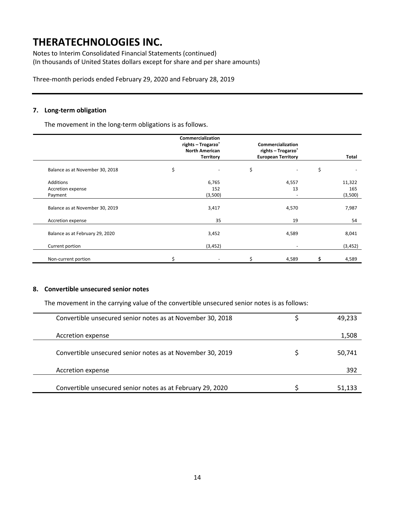Notes to Interim Consolidated Financial Statements (continued) (In thousands of United States dollars except for share and per share amounts)

Three-month periods ended February 29, 2020 and February 28, 2019

### **7. Long-term obligation**

The movement in the long-term obligations is as follows.

|                                 | Commercialization<br>rights - Trogarzo <sup>®</sup><br><b>North American</b><br><b>Territory</b> | Commercialization<br>rights - Trogarzo®<br><b>European Territory</b> |       | <b>Total</b> |
|---------------------------------|--------------------------------------------------------------------------------------------------|----------------------------------------------------------------------|-------|--------------|
| Balance as at November 30, 2018 | \$                                                                                               | \$                                                                   |       | \$           |
| Additions                       | 6,765                                                                                            |                                                                      | 4,557 | 11,322       |
| Accretion expense               | 152                                                                                              |                                                                      | 13    | 165          |
| Payment                         | (3,500)                                                                                          |                                                                      | -     | (3,500)      |
| Balance as at November 30, 2019 | 3,417                                                                                            |                                                                      | 4,570 | 7,987        |
| Accretion expense               | 35                                                                                               |                                                                      | 19    | 54           |
| Balance as at February 29, 2020 | 3,452                                                                                            |                                                                      | 4,589 | 8,041        |
| Current portion                 | (3, 452)                                                                                         |                                                                      | -     | (3, 452)     |
| Non-current portion             |                                                                                                  |                                                                      | 4,589 | 4,589        |

## **8. Convertible unsecured senior notes**

The movement in the carrying value of the convertible unsecured senior notes is as follows:

| Convertible unsecured senior notes as at November 30, 2018 | 49,233 |
|------------------------------------------------------------|--------|
| Accretion expense                                          | 1,508  |
| Convertible unsecured senior notes as at November 30, 2019 | 50,741 |
| Accretion expense                                          | 392    |
| Convertible unsecured senior notes as at February 29, 2020 | 51,133 |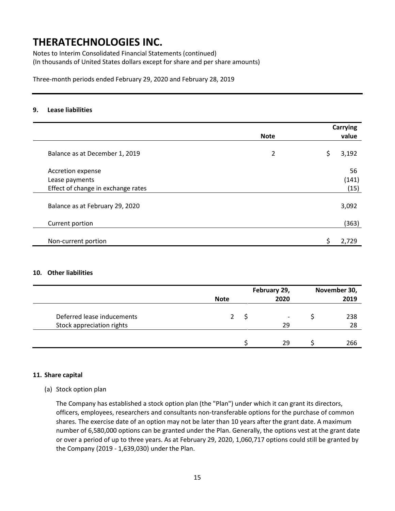Notes to Interim Consolidated Financial Statements (continued) (In thousands of United States dollars except for share and per share amounts)

Three-month periods ended February 29, 2020 and February 28, 2019

### **9. Lease liabilities**

|                                    |             | Carrying |
|------------------------------------|-------------|----------|
|                                    | <b>Note</b> | value    |
| Balance as at December 1, 2019     | 2           | 3,192    |
| Accretion expense                  |             | 56       |
| Lease payments                     |             | (141)    |
| Effect of change in exchange rates |             | (15)     |
| Balance as at February 29, 2020    |             | 3,092    |
| Current portion                    |             | (363)    |
| Non-current portion                |             | 2.729    |

### **10. Other liabilities**

|                            |             | February 29, |                          | November 30, |      |
|----------------------------|-------------|--------------|--------------------------|--------------|------|
|                            | <b>Note</b> |              | 2020                     |              | 2019 |
|                            |             |              |                          |              |      |
| Deferred lease inducements | 2           |              | $\overline{\phantom{a}}$ |              | 238  |
| Stock appreciation rights  |             |              | 29                       |              | 28   |
|                            |             |              |                          |              |      |
|                            |             |              | 29                       |              | 266  |

#### **11. Share capital**

### (a) Stock option plan

The Company has established a stock option plan (the "Plan") under which it can grant its directors, officers, employees, researchers and consultants non-transferable options for the purchase of common shares. The exercise date of an option may not be later than 10 years after the grant date. A maximum number of 6,580,000 options can be granted under the Plan. Generally, the options vest at the grant date or over a period of up to three years. As at February 29, 2020, 1,060,717 options could still be granted by the Company (2019 - 1,639,030) under the Plan.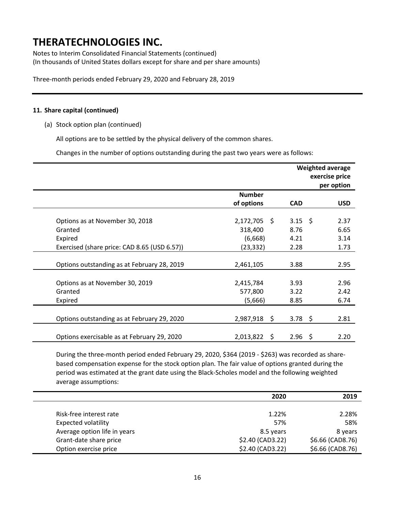Notes to Interim Consolidated Financial Statements (continued) (In thousands of United States dollars except for share and per share amounts)

Three-month periods ended February 29, 2020 and February 28, 2019

#### **11. Share capital (continued)**

(a) Stock option plan (continued)

All options are to be settled by the physical delivery of the common shares.

Changes in the number of options outstanding during the past two years were as follows:

|                                              |                | Weighted average  | exercise price<br>per option |
|----------------------------------------------|----------------|-------------------|------------------------------|
|                                              | <b>Number</b>  |                   |                              |
|                                              | of options     | <b>CAD</b>        | <b>USD</b>                   |
| Options as at November 30, 2018              | 2,172,705 \$   | $3.15 \quad $$    | 2.37                         |
| Granted                                      | 318,400        | 8.76              | 6.65                         |
| Expired                                      | (6,668)        | 4.21              | 3.14                         |
| Exercised (share price: CAD 8.65 (USD 6.57)) | (23, 332)      | 2.28              | 1.73                         |
|                                              |                |                   |                              |
| Options outstanding as at February 28, 2019  | 2,461,105      | 3.88              | 2.95                         |
|                                              |                |                   |                              |
| Options as at November 30, 2019              | 2,415,784      | 3.93              | 2.96                         |
| Granted                                      | 577,800        | 3.22              | 2.42                         |
| Expired                                      | (5,666)        | 8.85              | 6.74                         |
|                                              |                |                   |                              |
| Options outstanding as at February 29, 2020  | 2,987,918 \$   | 3.78 \$           | 2.81                         |
|                                              |                |                   |                              |
| Options exercisable as at February 29, 2020  | $2,013,822$ \$ | $2.96\frac{1}{2}$ | 2.20                         |

During the three-month period ended February 29, 2020, \$364 (2019 - \$263) was recorded as sharebased compensation expense for the stock option plan. The fair value of options granted during the period was estimated at the grant date using the Black-Scholes model and the following weighted average assumptions:

|                              | 2020             | 2019             |
|------------------------------|------------------|------------------|
|                              |                  |                  |
| Risk-free interest rate      | 1.22%            | 2.28%            |
| <b>Expected volatility</b>   | 57%              | 58%              |
| Average option life in years | 8.5 years        | 8 years          |
| Grant-date share price       | \$2.40 (CAD3.22) | \$6.66 (CAD8.76) |
| Option exercise price        | \$2.40 (CAD3.22) | \$6.66 (CAD8.76) |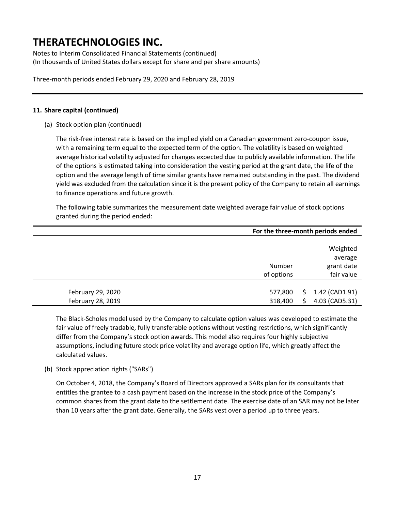Notes to Interim Consolidated Financial Statements (continued) (In thousands of United States dollars except for share and per share amounts)

Three-month periods ended February 29, 2020 and February 28, 2019

### **11. Share capital (continued)**

(a) Stock option plan (continued)

The risk-free interest rate is based on the implied yield on a Canadian government zero-coupon issue, with a remaining term equal to the expected term of the option. The volatility is based on weighted average historical volatility adjusted for changes expected due to publicly available information. The life of the options is estimated taking into consideration the vesting period at the grant date, the life of the option and the average length of time similar grants have remained outstanding in the past. The dividend yield was excluded from the calculation since it is the present policy of the Company to retain all earnings to finance operations and future growth.

The following table summarizes the measurement date weighted average fair value of stock options granted during the period ended:

|                   | For the three-month periods ended |    |                |  |
|-------------------|-----------------------------------|----|----------------|--|
|                   |                                   |    |                |  |
|                   |                                   |    | Weighted       |  |
|                   |                                   |    | average        |  |
|                   | Number                            |    | grant date     |  |
|                   | of options                        |    | fair value     |  |
|                   |                                   |    |                |  |
| February 29, 2020 | 577,800                           |    | 1.42 (CAD1.91) |  |
| February 28, 2019 | 318,400                           | S. | 4.03 (CAD5.31) |  |

The Black-Scholes model used by the Company to calculate option values was developed to estimate the fair value of freely tradable, fully transferable options without vesting restrictions, which significantly differ from the Company's stock option awards. This model also requires four highly subjective assumptions, including future stock price volatility and average option life, which greatly affect the calculated values.

(b) Stock appreciation rights ("SARs")

On October 4, 2018, the Company's Board of Directors approved a SARs plan for its consultants that entitles the grantee to a cash payment based on the increase in the stock price of the Company's common shares from the grant date to the settlement date. The exercise date of an SAR may not be later than 10 years after the grant date. Generally, the SARs vest over a period up to three years.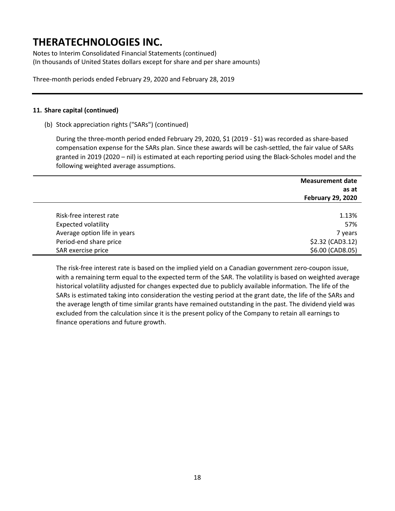Notes to Interim Consolidated Financial Statements (continued) (In thousands of United States dollars except for share and per share amounts)

Three-month periods ended February 29, 2020 and February 28, 2019

### **11. Share capital (continued)**

(b) Stock appreciation rights ("SARs") (continued)

During the three-month period ended February 29, 2020, \$1 (2019 - \$1) was recorded as share-based compensation expense for the SARs plan. Since these awards will be cash-settled, the fair value of SARs granted in 2019 (2020 – nil) is estimated at each reporting period using the Black-Scholes model and the following weighted average assumptions.

|                              | <b>Measurement date</b>  |
|------------------------------|--------------------------|
|                              | as at                    |
|                              | <b>February 29, 2020</b> |
|                              |                          |
| Risk-free interest rate      | 1.13%                    |
| <b>Expected volatility</b>   | 57%                      |
| Average option life in years | 7 years                  |
| Period-end share price       | \$2.32 (CAD3.12)         |
| SAR exercise price           | \$6.00 (CAD8.05)         |

The risk-free interest rate is based on the implied yield on a Canadian government zero-coupon issue, with a remaining term equal to the expected term of the SAR. The volatility is based on weighted average historical volatility adjusted for changes expected due to publicly available information. The life of the SARs is estimated taking into consideration the vesting period at the grant date, the life of the SARs and the average length of time similar grants have remained outstanding in the past. The dividend yield was excluded from the calculation since it is the present policy of the Company to retain all earnings to finance operations and future growth.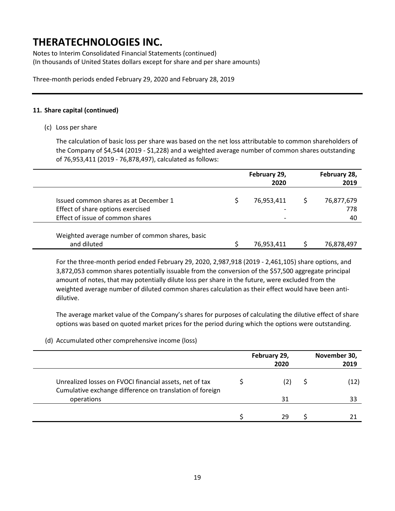Notes to Interim Consolidated Financial Statements (continued) (In thousands of United States dollars except for share and per share amounts)

Three-month periods ended February 29, 2020 and February 28, 2019

### **11. Share capital (continued)**

(c) Loss per share

The calculation of basic loss per share was based on the net loss attributable to common shareholders of the Company of \$4,544 (2019 - \$1,228) and a weighted average number of common shares outstanding of 76,953,411 (2019 - 76,878,497), calculated as follows:

|                                                                                     | February 29,<br>2020 | February 28,<br>2019 |
|-------------------------------------------------------------------------------------|----------------------|----------------------|
| Issued common shares as at December 1<br>Effect of share options exercised          | 76,953,411           | 76,877,679<br>778    |
| Effect of issue of common shares<br>Weighted average number of common shares, basic |                      | 40                   |
| and diluted                                                                         | 76,953,411           | 76,878,497           |

For the three-month period ended February 29, 2020, 2,987,918 (2019 - 2,461,105) share options, and 3,872,053 common shares potentially issuable from the conversion of the \$57,500 aggregate principal amount of notes, that may potentially dilute loss per share in the future, were excluded from the weighted average number of diluted common shares calculation as their effect would have been antidilutive.

The average market value of the Company's shares for purposes of calculating the dilutive effect of share options was based on quoted market prices for the period during which the options were outstanding.

(d) Accumulated other comprehensive income (loss)

|                                                                                                                     | February 29,<br>2020 | November 30,<br>2019 |
|---------------------------------------------------------------------------------------------------------------------|----------------------|----------------------|
| Unrealized losses on FVOCI financial assets, net of tax<br>Cumulative exchange difference on translation of foreign |                      | (12)                 |
| operations                                                                                                          | 31                   |                      |
|                                                                                                                     | 29                   |                      |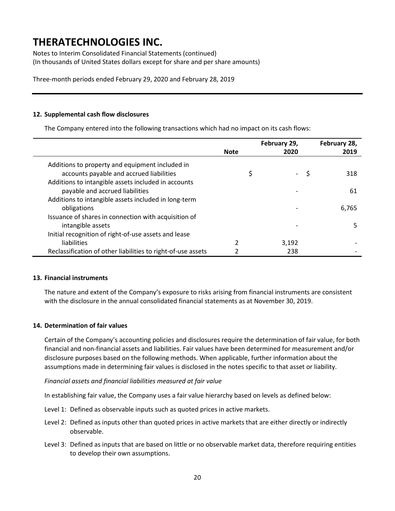Notes to Interim Consolidated Financial Statements (continued) (In thousands of United States dollars except for share and per share amounts)

Three-month periods ended February 29, 2020 and February 28, 2019

### **12. Supplemental cash flow disclosures**

The Company entered into the following transactions which had no impact on its cash flows:

|                                                                                             |             | February 29, |   | February 28, |
|---------------------------------------------------------------------------------------------|-------------|--------------|---|--------------|
|                                                                                             | <b>Note</b> | 2020         |   | 2019         |
| Additions to property and equipment included in<br>accounts payable and accrued liabilities |             |              | S | 318          |
| Additions to intangible assets included in accounts<br>payable and accrued liabilities      |             |              |   | 61           |
| Additions to intangible assets included in long-term<br>obligations                         |             |              |   | 6.765        |
| Issuance of shares in connection with acquisition of<br>intangible assets                   |             |              |   | 5            |
| Initial recognition of right-of-use assets and lease                                        |             |              |   |              |
| liabilities                                                                                 | 2           | 3,192        |   |              |
| Reclassification of other liabilities to right-of-use assets                                |             | 238          |   |              |

#### **13. Financial instruments**

The nature and extent of the Company's exposure to risks arising from financial instruments are consistent with the disclosure in the annual consolidated financial statements as at November 30, 2019.

#### **14. Determination of fair values**

Certain of the Company's accounting policies and disclosures require the determination of fair value, for both financial and non-financial assets and liabilities. Fair values have been determined for measurement and/or disclosure purposes based on the following methods. When applicable, further information about the assumptions made in determining fair values is disclosed in the notes specific to that asset or liability.

#### *Financial assets and financial liabilities measured at fair value*

In establishing fair value, the Company uses a fair value hierarchy based on levels as defined below:

- Level 1: Defined as observable inputs such as quoted prices in active markets.
- Level 2: Defined as inputs other than quoted prices in active markets that are either directly or indirectly observable.
- Level 3: Defined as inputs that are based on little or no observable market data, therefore requiring entities to develop their own assumptions.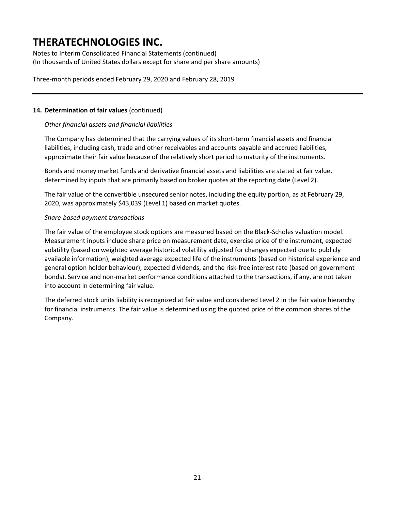Notes to Interim Consolidated Financial Statements (continued) (In thousands of United States dollars except for share and per share amounts)

Three-month periods ended February 29, 2020 and February 28, 2019

### **14. Determination of fair values** (continued)

### *Other financial assets and financial liabilities*

The Company has determined that the carrying values of its short-term financial assets and financial liabilities, including cash, trade and other receivables and accounts payable and accrued liabilities, approximate their fair value because of the relatively short period to maturity of the instruments.

Bonds and money market funds and derivative financial assets and liabilities are stated at fair value, determined by inputs that are primarily based on broker quotes at the reporting date (Level 2).

The fair value of the convertible unsecured senior notes, including the equity portion, as at February 29, 2020, was approximately \$43,039 (Level 1) based on market quotes.

### *Share-based payment transactions*

The fair value of the employee stock options are measured based on the Black-Scholes valuation model. Measurement inputs include share price on measurement date, exercise price of the instrument, expected volatility (based on weighted average historical volatility adjusted for changes expected due to publicly available information), weighted average expected life of the instruments (based on historical experience and general option holder behaviour), expected dividends, and the risk-free interest rate (based on government bonds). Service and non-market performance conditions attached to the transactions, if any, are not taken into account in determining fair value.

The deferred stock units liability is recognized at fair value and considered Level 2 in the fair value hierarchy for financial instruments. The fair value is determined using the quoted price of the common shares of the Company.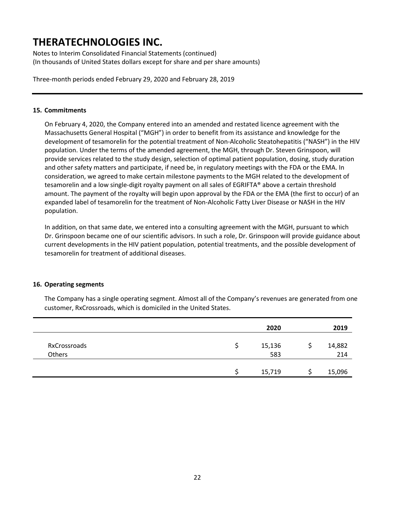Notes to Interim Consolidated Financial Statements (continued) (In thousands of United States dollars except for share and per share amounts)

Three-month periods ended February 29, 2020 and February 28, 2019

### **15. Commitments**

On February 4, 2020, the Company entered into an amended and restated licence agreement with the Massachusetts General Hospital ("MGH") in order to benefit from its assistance and knowledge for the development of tesamorelin for the potential treatment of Non-Alcoholic Steatohepatitis ("NASH") in the HIV population. Under the terms of the amended agreement, the MGH, through Dr. Steven Grinspoon, will provide services related to the study design, selection of optimal patient population, dosing, study duration and other safety matters and participate, if need be, in regulatory meetings with the FDA or the EMA. In consideration, we agreed to make certain milestone payments to the MGH related to the development of tesamorelin and a low single-digit royalty payment on all sales of EGRIFTA® above a certain threshold amount. The payment of the royalty will begin upon approval by the FDA or the EMA (the first to occur) of an expanded label of tesamorelin for the treatment of Non-Alcoholic Fatty Liver Disease or NASH in the HIV population.

In addition, on that same date, we entered into a consulting agreement with the MGH, pursuant to which Dr. Grinspoon became one of our scientific advisors. In such a role, Dr. Grinspoon will provide guidance about current developments in the HIV patient population, potential treatments, and the possible development of tesamorelin for treatment of additional diseases.

### **16. Operating segments**

The Company has a single operating segment. Almost all of the Company's revenues are generated from one customer, RxCrossroads, which is domiciled in the United States.

|                        | 2020          | 2019          |
|------------------------|---------------|---------------|
| RxCrossroads<br>Others | 15,136<br>583 | 14,882<br>214 |
|                        | 15,719        | 15,096        |